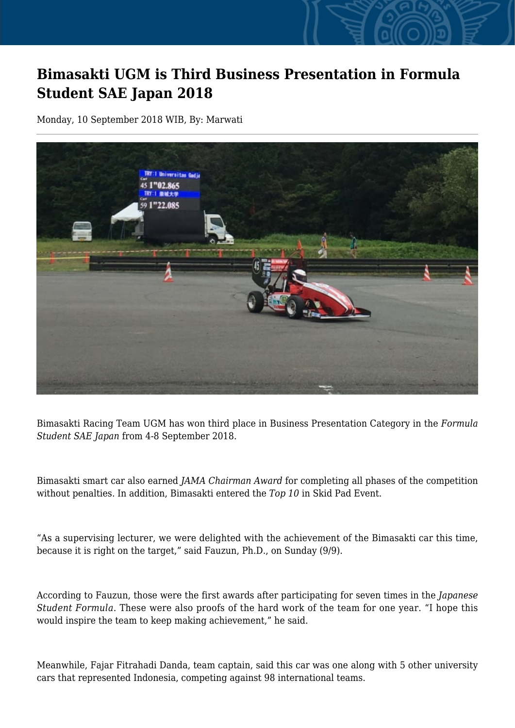## **Bimasakti UGM is Third Business Presentation in Formula Student SAE Japan 2018**

Monday, 10 September 2018 WIB, By: Marwati



Bimasakti Racing Team UGM has won third place in Business Presentation Category in the *Formula Student SAE Japan* from 4-8 September 2018.

Bimasakti smart car also earned *JAMA Chairman Award* for completing all phases of the competition without penalties. In addition, Bimasakti entered the *Top 10* in Skid Pad Event.

"As a supervising lecturer, we were delighted with the achievement of the Bimasakti car this time, because it is right on the target," said Fauzun, Ph.D., on Sunday (9/9).

According to Fauzun, those were the first awards after participating for seven times in the *Japanese Student Formula*. These were also proofs of the hard work of the team for one year. "I hope this would inspire the team to keep making achievement," he said.

Meanwhile, Fajar Fitrahadi Danda, team captain, said this car was one along with 5 other university cars that represented Indonesia, competing against 98 international teams.